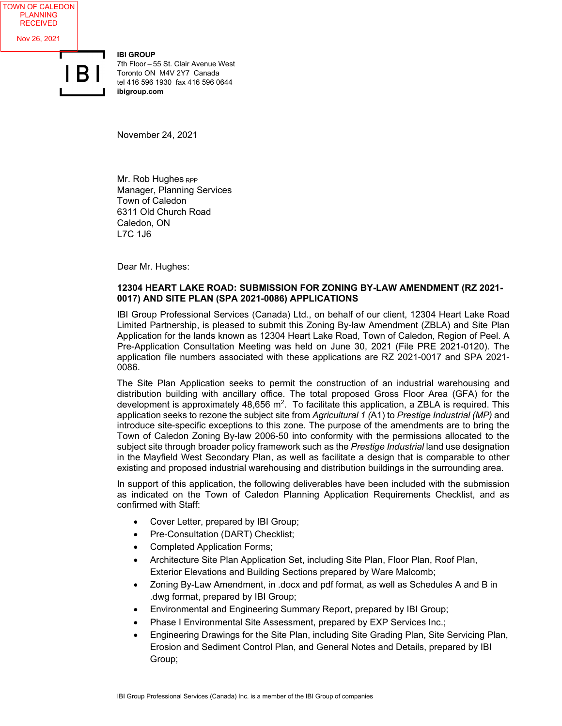**IBI GROUP** 7th Floor – 55 St. Clair Avenue West Toronto ON M4V 2Y7 Canada tel 416 596 1930 fax 416 596 0644 **ibigroup.com**

November 24, 2021

Mr. Rob Hughes RPP Manager, Planning Services Town of Caledon 6311 Old Church Road Caledon, ON L7C 1J6

Dear Mr. Hughes:

## **12304 HEART LAKE ROAD: SUBMISSION FOR ZONING BY-LAW AMENDMENT (RZ 2021- 0017) AND SITE PLAN (SPA 2021-0086) APPLICATIONS**

IBI Group Professional Services (Canada) Ltd., on behalf of our client, 12304 Heart Lake Road Limited Partnership, is pleased to submit this Zoning By-law Amendment (ZBLA) and Site Plan Application for the lands known as 12304 Heart Lake Road, Town of Caledon, Region of Peel. A Pre-Application Consultation Meeting was held on June 30, 2021 (File PRE 2021-0120). The application file numbers associated with these applications are RZ 2021-0017 and SPA 2021- 0086.

The Site Plan Application seeks to permit the construction of an industrial warehousing and distribution building with ancillary office. The total proposed Gross Floor Area (GFA) for the development is approximately 48,656  $m^2$ . To facilitate this application, a ZBLA is required. This application seeks to rezone the subject site from *Agricultural 1 (*A1) to *Prestige Industrial (MP)* and introduce site-specific exceptions to this zone. The purpose of the amendments are to bring the Town of Caledon Zoning By-law 2006-50 into conformity with the permissions allocated to the subject site through broader policy framework such as the *Prestige Industrial* land use designation in the Mayfield West Secondary Plan, as well as facilitate a design that is comparable to other existing and proposed industrial warehousing and distribution buildings in the surrounding area.

In support of this application, the following deliverables have been included with the submission as indicated on the Town of Caledon Planning Application Requirements Checklist, and as confirmed with Staff:

- Cover Letter, prepared by IBI Group;
- Pre-Consultation (DART) Checklist;
- Completed Application Forms;
- Architecture Site Plan Application Set, including Site Plan, Floor Plan, Roof Plan, Exterior Elevations and Building Sections prepared by Ware Malcomb;
- Zoning By-Law Amendment, in .docx and pdf format, as well as Schedules A and B in .dwg format, prepared by IBI Group;
- Environmental and Engineering Summary Report, prepared by IBI Group;
- Phase I Environmental Site Assessment, prepared by EXP Services Inc.;
- Engineering Drawings for the Site Plan, including Site Grading Plan, Site Servicing Plan, Erosion and Sediment Control Plan, and General Notes and Details, prepared by IBI Group;